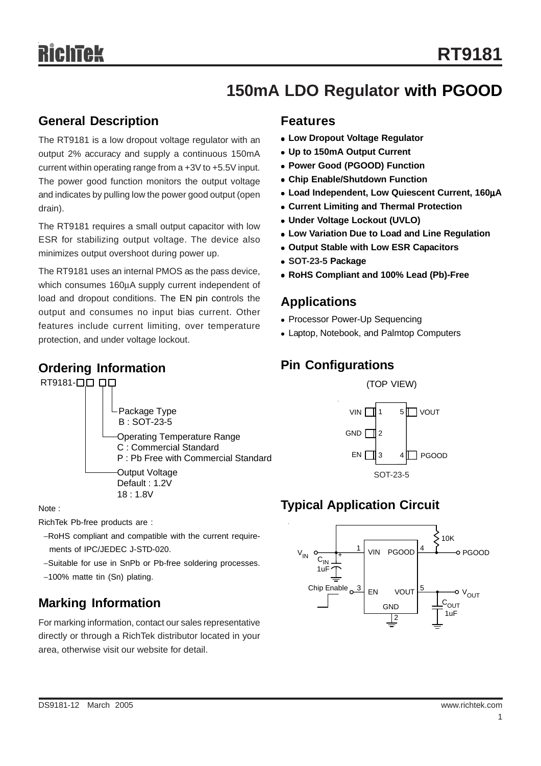## **150mA LDO Regulator with PGOOD**

### **General Description**

The RT9181 is a low dropout voltage regulator with an output 2% accuracy and supply a continuous 150mA current within operating range from a +3V to +5.5V input. The power good function monitors the output voltage and indicates by pulling low the power good output (open drain).

The RT9181 requires a small output capacitor with low ESR for stabilizing output voltage. The device also minimizes output overshoot during power up.

The RT9181 uses an internal PMOS as the pass device, which consumes 160uA supply current independent of load and dropout conditions. The EN pin controls the output and consumes no input bias current. Other features include current limiting, over temperature protection, and under voltage lockout.

## **Ordering Information**

RT9181-00 00



Note :

RichTek Pb-free products are :

- −RoHS compliant and compatible with the current require ments of IPC/JEDEC J-STD-020.
- −Suitable for use in SnPb or Pb-free soldering processes.
- −100% matte tin (Sn) plating.

## **Marking Information**

For marking information, contact our sales representative directly or through a RichTek distributor located in your area, otherwise visit our website for detail.

### **Features**

- **Low Dropout Voltage Regulator**
- Up to 150mA Output Current
- <sup>z</sup> **Power Good (PGOOD) Function**
- **Chip Enable/Shutdown Function**
- <sup>z</sup> **Load Independent, Low Quiescent Current, 160**μ**A**
- **Current Limiting and Thermal Protection**
- <sup>z</sup> **Under Voltage Lockout (UVLO)**
- **Low Variation Due to Load and Line Regulation**
- **Output Stable with Low ESR Capacitors**
- <sup>z</sup> **SOT-23-5 Package**
- <sup>z</sup> **RoHS Compliant and 100% Lead (Pb)-Free**

### **Applications**

- Processor Power-Up Sequencing
- Laptop, Notebook, and Palmtop Computers

## **Pin Configurations**



## **Typical Application Circuit**

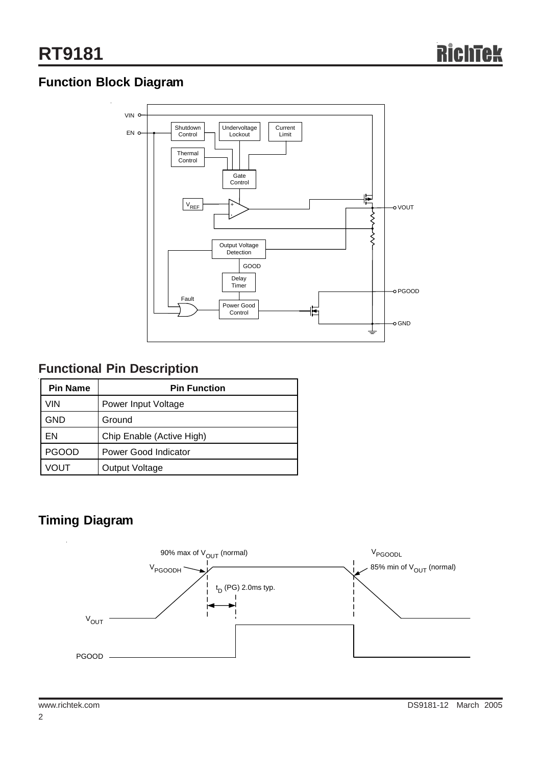## **Function Block Diagram**



## **Functional Pin Description**

| <b>Pin Name</b> | <b>Pin Function</b>       |  |  |  |
|-----------------|---------------------------|--|--|--|
| VIN             | Power Input Voltage       |  |  |  |
| GND             | Ground                    |  |  |  |
| ΕN              | Chip Enable (Active High) |  |  |  |
| <b>PGOOD</b>    | Power Good Indicator      |  |  |  |
| VOUT            | Output Voltage            |  |  |  |

## **Timing Diagram**

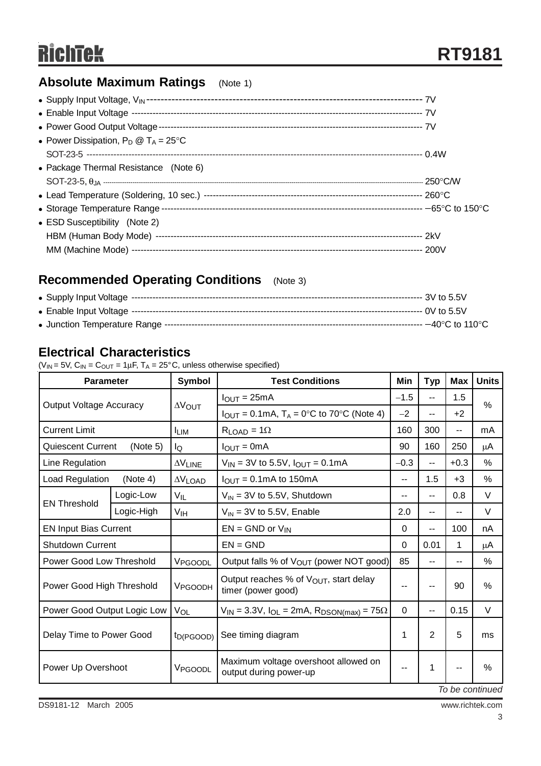## **Absolute Maximum Ratings** (Note 1)

| • Power Dissipation, $P_D @ T_A = 25^{\circ}C$ |  |
|------------------------------------------------|--|
|                                                |  |
| • Package Thermal Resistance (Note 6)          |  |
|                                                |  |
|                                                |  |
|                                                |  |
| • ESD Susceptibility (Note 2)                  |  |
|                                                |  |
|                                                |  |

## **Recommended Operating Conditions** (Note 3)

## **Electrical Characteristics**

( $V_{IN}$  = 5V,  $C_{IN}$  =  $C_{OUT}$  = 1 $\mu$ F, T<sub>A</sub> = 25°C, unless otherwise specified)

| <b>Parameter</b>               |            | Symbol                     | <b>Test Conditions</b>                                                       |        | <b>Typ</b>               | <b>Max</b> | <b>Units</b>  |  |
|--------------------------------|------------|----------------------------|------------------------------------------------------------------------------|--------|--------------------------|------------|---------------|--|
| <b>Output Voltage Accuracy</b> |            | $\Delta V_{\rm OUT}$       | $IOUT = 25mA$                                                                | $-1.5$ | $-$                      | 1.5        | $\frac{0}{0}$ |  |
|                                |            |                            | $I_{\text{OUT}} = 0.1 \text{mA}$ , $T_A = 0^\circ \text{C}$ to 70°C (Note 4) | $-2$   | $-$                      | $+2$       |               |  |
| <b>Current Limit</b>           |            | <b>ILIM</b>                | $R_{LOAD} = 1\Omega$                                                         |        | 300                      | --         | mA            |  |
| <b>Quiescent Current</b>       | (Note 5)   | lQ                         | $I_{\text{OUT}} = 0 \text{mA}$                                               |        | 160                      | 250        | μA            |  |
| Line Regulation                |            | $\Delta V$ LINE            | $V_{IN}$ = 3V to 5.5V, $I_{OUT}$ = 0.1mA                                     |        | --                       | $+0.3$     | $\frac{0}{0}$ |  |
| Load Regulation                | (Note 4)   | $\Delta\rm{V}_{\rm{LOAD}}$ | $I_{\text{OUT}} = 0.1 \text{mA}$ to 150 mA                                   |        | 1.5                      | $+3$       | %             |  |
| <b>EN Threshold</b>            | Logic-Low  | $V_{IL}$                   | $V_{IN}$ = 3V to 5.5V, Shutdown                                              |        | $-$                      | 0.8        | $\vee$        |  |
|                                | Logic-High | V <sub>IH</sub>            | $V_{IN}$ = 3V to 5.5V, Enable                                                |        | $-$                      | --         | V             |  |
| <b>EN Input Bias Current</b>   |            |                            | $EN = GND$ or $V_{IN}$                                                       |        | $\overline{\phantom{a}}$ | 100        | nA            |  |
| <b>Shutdown Current</b>        |            |                            | $EN = GND$                                                                   |        | 0.01                     | 1          | μA            |  |
| Power Good Low Threshold       |            | VPGOODL                    | Output falls % of V <sub>OUT</sub> (power NOT good)                          |        | --                       | $-$        | %             |  |
| Power Good High Threshold      |            | V <sub>PGOODH</sub>        | Output reaches % of $V_{\text{OUT}}$ , start delay<br>timer (power good)     |        |                          | 90         | $\%$          |  |
| Power Good Output Logic Low    |            | VOL                        | $V_{IN}$ = 3.3V, $I_{OL}$ = 2mA, $R_{DSON(max)}$ = 75 $\Omega$               |        | --                       | 0.15       | V             |  |
| Delay Time to Power Good       |            | t <sub>D</sub> (PGOOD)     | See timing diagram                                                           |        | 2                        | 5          | ms            |  |
| Power Up Overshoot             |            | VPGOODL                    | Maximum voltage overshoot allowed on<br>output during power-up               |        | 1                        | --         | $\frac{0}{0}$ |  |
| To be continued                |            |                            |                                                                              |        |                          |            |               |  |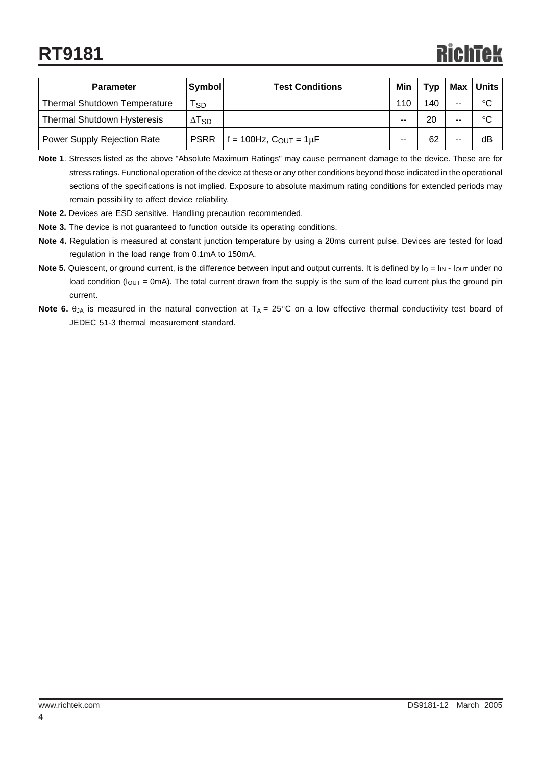## **RT9181**

# RichTek

| <b>Parameter</b>                    | <b>Symbol</b>            | <b>Test Conditions</b>            | Min   | <b>Typ</b> | Max   | Units       |
|-------------------------------------|--------------------------|-----------------------------------|-------|------------|-------|-------------|
| <b>Thermal Shutdown Temperature</b> | Tsp                      |                                   | 110   | 140        | $- -$ | $^{\circ}C$ |
| <b>Thermal Shutdown Hysteresis</b>  | $\Delta$ T <sub>SD</sub> |                                   | $- -$ | 20         | --    | ∘C          |
| Power Supply Rejection Rate         | <b>PSRR</b>              | $t = 100$ Hz, $C_{OUT} = 1 \mu F$ | $- -$ | $-62$      | $- -$ | dB          |

**Note 1**. Stresses listed as the above "Absolute Maximum Ratings" may cause permanent damage to the device. These are for stress ratings. Functional operation of the device at these or any other conditions beyond those indicated in the operational sections of the specifications is not implied. Exposure to absolute maximum rating conditions for extended periods may remain possibility to affect device reliability.

- **Note 2.** Devices are ESD sensitive. Handling precaution recommended.
- **Note 3.** The device is not guaranteed to function outside its operating conditions.
- **Note 4.** Regulation is measured at constant junction temperature by using a 20ms current pulse. Devices are tested for load regulation in the load range from 0.1mA to 150mA.
- **Note 5.** Quiescent, or ground current, is the difference between input and output currents. It is defined by  $I_Q = I_{IN} I_{OUT}$  under no load condition ( $I_{\text{OUT}}$  = 0mA). The total current drawn from the supply is the sum of the load current plus the ground pin current.
- **Note 6.**  $\theta_{JA}$  is measured in the natural convection at  $T_A = 25^\circ$ C on a low effective thermal conductivity test board of JEDEC 51-3 thermal measurement standard.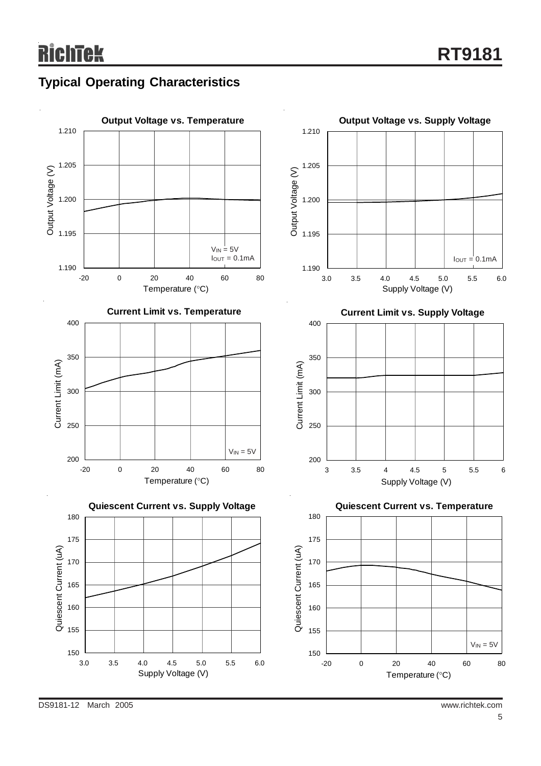## **Typical Operating Characteristics**

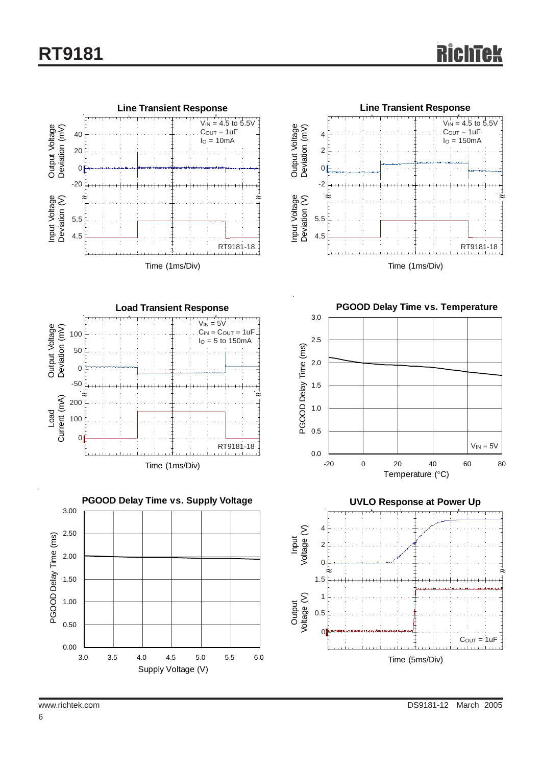



**Load Transient Response**  $V_{IN} = 5V$ Output Voltage<br>Deviation (mV) Output Voltage Deviation (mV)  $C_{IN} = C_{OUT} = 1uF$ 100  $I<sub>O</sub> = 5$  to 150 mA 50 0 -50 ≈ ≈ Current (mA) Current (mA) 200 Load 100 0 RT9181-18 Time (1ms/Div)



1.0 1.5 2.0 2.5

3.0

**PGOOD Delay Time vs. Temperature**



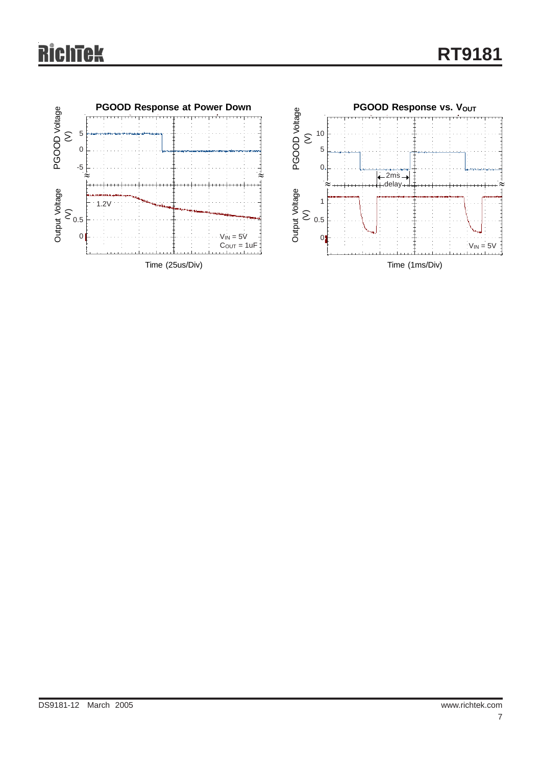# **RichTek**

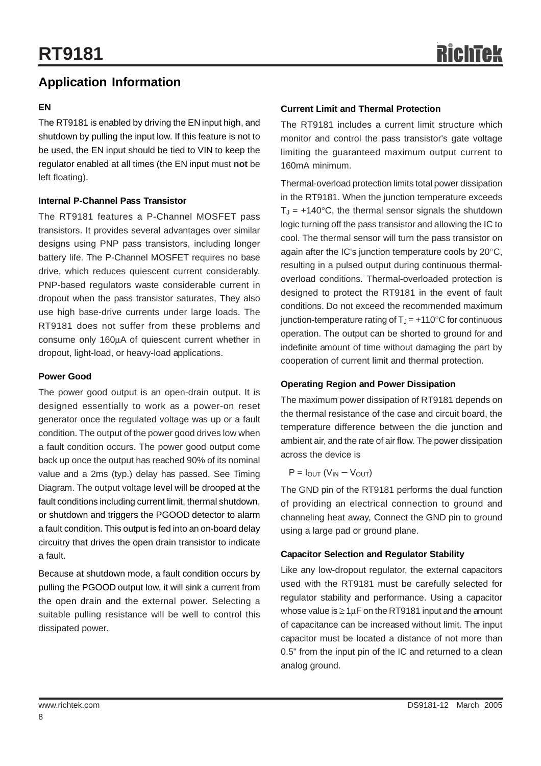## **Application Information**

### **EN**

The RT9181 is enabled by driving the EN input high, and shutdown by pulling the input low. If this feature is not to be used, the EN input should be tied to VIN to keep the regulator enabled at all times (the EN input must **not** be left floating).

### **Internal P-Channel Pass Transistor**

The RT9181 features a P-Channel MOSFET pass transistors. It provides several advantages over similar designs using PNP pass transistors, including longer battery life. The P-Channel MOSFET requires no base drive, which reduces quiescent current considerably. PNP-based regulators waste considerable current in dropout when the pass transistor saturates, They also use high base-drive currents under large loads. The RT9181 does not suffer from these problems and consume only 160μA of quiescent current whether in dropout, light-load, or heavy-load applications.

#### **Power Good**

The power good output is an open-drain output. It is designed essentially to work as a power-on reset generator once the regulated voltage was up or a fault condition. The output of the power good drives low when a fault condition occurs. The power good output come back up once the output has reached 90% of its nominal value and a 2ms (typ.) delay has passed. See Timing Diagram. The output voltage level will be drooped at the fault conditions including current limit, thermal shutdown, or shutdown and triggers the PGOOD detector to alarm a fault condition. This output is fed into an on-board delay circuitry that drives the open drain transistor to indicate a fault.

Because at shutdown mode, a fault condition occurs by pulling the PGOOD output low, it will sink a current from the open drain and the external power. Selecting a suitable pulling resistance will be well to control this dissipated power.

### **Current Limit and Thermal Protection**

The RT9181 includes a current limit structure which monitor and control the pass transistor's gate voltage limiting the guaranteed maximum output current to 160mA minimum.

Thermal-overload protection limits total power dissipation in the RT9181. When the junction temperature exceeds  $T_J = +140^{\circ}$ C, the thermal sensor signals the shutdown logic turning off the pass transistor and allowing the IC to cool. The thermal sensor will turn the pass transistor on again after the IC's junction temperature cools by 20°C, resulting in a pulsed output during continuous thermaloverload conditions. Thermal-overloaded protection is designed to protect the RT9181 in the event of fault conditions. Do not exceed the recommended maximum junction-temperature rating of  $T_J = +110^{\circ}C$  for continuous operation. The output can be shorted to ground for and indefinite amount of time without damaging the part by cooperation of current limit and thermal protection.

### **Operating Region and Power Dissipation**

The maximum power dissipation of RT9181 depends on the thermal resistance of the case and circuit board, the temperature difference between the die junction and ambient air, and the rate of air flow. The power dissipation across the device is

$$
P = I_{OUT} (V_{IN} - V_{OUT})
$$

The GND pin of the RT9181 performs the dual function of providing an electrical connection to ground and channeling heat away, Connect the GND pin to ground using a large pad or ground plane.

#### **Capacitor Selection and Regulator Stability**

Like any low-dropout regulator, the external capacitors used with the RT9181 must be carefully selected for regulator stability and performance. Using a capacitor whose value is  $\geq 1 \mu$ F on the RT9181 input and the amount of capacitance can be increased without limit. The input capacitor must be located a distance of not more than 0.5" from the input pin of the IC and returned to a clean analog ground.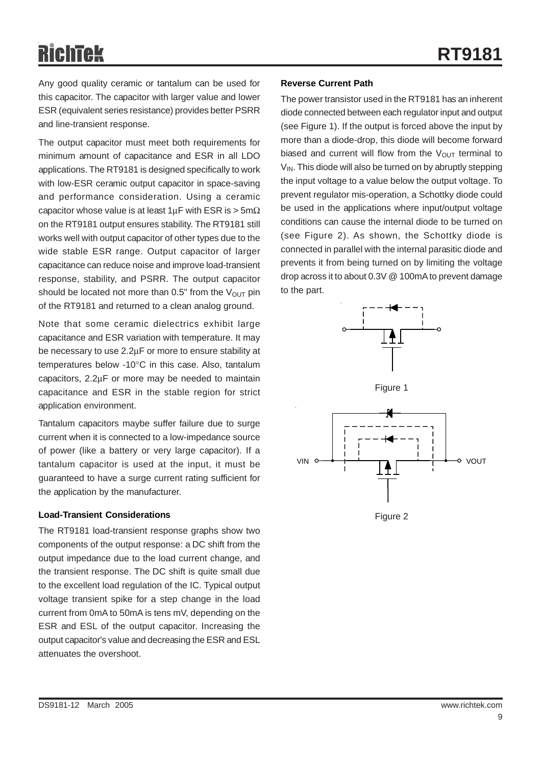# Richtek

Any good quality ceramic or tantalum can be used for this capacitor. The capacitor with larger value and lower ESR (equivalent series resistance) provides better PSRR and line-transient response.

The output capacitor must meet both requirements for minimum amount of capacitance and ESR in all LDO applications. The RT9181 is designed specifically to work with low-ESR ceramic output capacitor in space-saving and performance consideration. Using a ceramic capacitor whose value is at least  $1 \mu$ F with ESR is > 5m $\Omega$ on the RT9181 output ensures stability. The RT9181 still works well with output capacitor of other types due to the wide stable ESR range. Output capacitor of larger capacitance can reduce noise and improve load-transient response, stability, and PSRR. The output capacitor should be located not more than  $0.5$ " from the  $V_{\text{OUT}}$  pin of the RT9181 and returned to a clean analog ground.

Note that some ceramic dielectrics exhibit large capacitance and ESR variation with temperature. It may be necessary to use 2.2μF or more to ensure stability at temperatures below -10°C in this case. Also, tantalum capacitors, 2.2μF or more may be needed to maintain capacitance and ESR in the stable region for strict application environment.

Tantalum capacitors maybe suffer failure due to surge current when it is connected to a low-impedance source of power (like a battery or very large capacitor). If a tantalum capacitor is used at the input, it must be guaranteed to have a surge current rating sufficient for the application by the manufacturer.

### **Load-Transient Considerations**

The RT9181 load-transient response graphs show two components of the output response: a DC shift from the output impedance due to the load current change, and the transient response. The DC shift is quite small due to the excellent load regulation of the IC. Typical output voltage transient spike for a step change in the load current from 0mA to 50mA is tens mV, depending on the ESR and ESL of the output capacitor. Increasing the output capacitor's value and decreasing the ESR and ESL attenuates the overshoot.

#### **Reverse Current Path**

The power transistor used in the RT9181 has an inherent diode connected between each regulator input and output (see Figure 1). If the output is forced above the input by more than a diode-drop, this diode will become forward biased and current will flow from the  $V_{OUT}$  terminal to  $V_{\text{IN}}$ . This diode will also be turned on by abruptly stepping the input voltage to a value below the output voltage. To prevent regulator mis-operation, a Schottky diode could be used in the applications where input/output voltage conditions can cause the internal diode to be turned on (see Figure 2). As shown, the Schottky diode is connected in parallel with the internal parasitic diode and prevents it from being turned on by limiting the voltage drop across it to about 0.3V @ 100mA to prevent damage to the part.







Figure 2